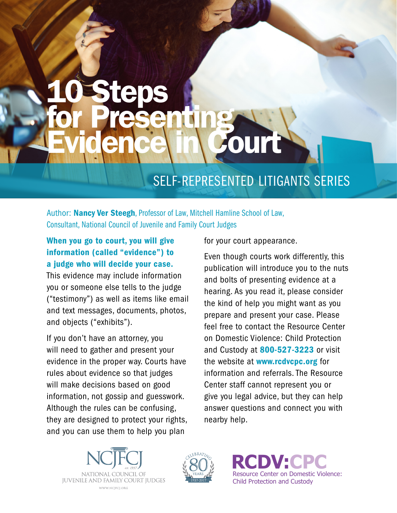## 10 Steps for Presenting Evidence in Court

### SELF-REPRESENTED LITIGANTS SERIES

Author: Nancy Ver Steegh, Professor of Law, Mitchell Hamline School of Law, Consultant, National Council of Juvenile and Family Court Judges

#### When you go to court, you will give information (called "evidence") to a judge who will decide your case.

This evidence may include information you or someone else tells to the judge ("testimony") as well as items like email and text messages, documents, photos, and objects ("exhibits").

If you don't have an attorney, you will need to gather and present your evidence in the proper way. Courts have rules about evidence so that judges will make decisions based on good information, not gossip and guesswork. Although the rules can be confusing, they are designed to protect your rights, and you can use them to help you plan

for your court appearance.

Even though courts work differently, this publication will introduce you to the nuts and bolts of presenting evidence at a hearing. As you read it, please consider the kind of help you might want as you prepare and present your case. Please feel free to contact the Resource Center on Domestic Violence: Child Protection and Custody at 800-527-3223 or visit the website at **www.rcdvcpc.org** for information and referrals. The Resource Center staff cannot represent you or give you legal advice, but they can help answer questions and connect you with nearby help.





**RCDV:CPC** Resource Center on Domestic Violence: Child Protection and Custody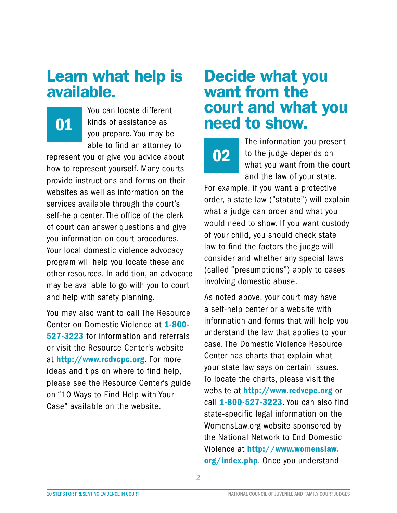### Learn what help is available.

01

You can locate different kinds of assistance as you prepare. You may be able to find an attorney to

represent you or give you advice about how to represent yourself. Many courts provide instructions and forms on their websites as well as information on the services available through the court's self-help center. The office of the clerk of court can answer questions and give you information on court procedures. Your local domestic violence advocacy program will help you locate these and other resources. In addition, an advocate may be available to go with you to court and help with safety planning.

You may also want to call The Resource Center on Domestic Violence at 1-800- 527-3223 for information and referrals or visit the Resource Center's website at http://www.rcdvcpc.org. For more ideas and tips on where to find help, please see the Resource Center's guide on "10 Ways to Find Help with Your Case" available on the website.

### Decide what you want from the court and what you need to show.

02

The information you present to the judge depends on what you want from the court and the law of your state.

For example, if you want a protective order, a state law ("statute") will explain what a judge can order and what you would need to show. If you want custody of your child, you should check state law to find the factors the judge will consider and whether any special laws (called "presumptions") apply to cases involving domestic abuse.

As noted above, your court may have a self-help center or a website with information and forms that will help you understand the law that applies to your case. The Domestic Violence Resource Center has charts that explain what your state law says on certain issues. To locate the charts, please visit the website at http://www.rcdvcpc.org or call 1-800-527-3223. You can also find state-specific legal information on the WomensLaw.org website sponsored by the National Network to End Domestic Violence at http://www.womenslaw. org/index.php. Once you understand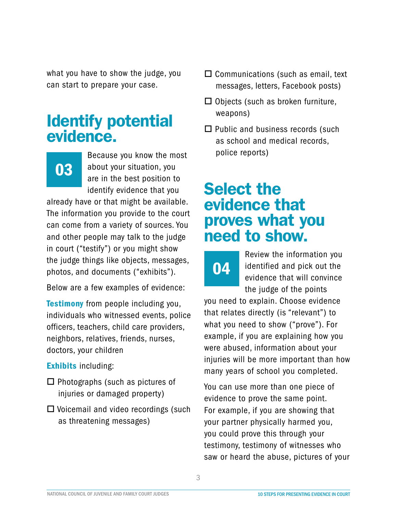what you have to show the judge, you can start to prepare your case.

### Identify potential evidence.

## 03

Because you know the most about your situation, you are in the best position to identify evidence that you

already have or that might be available. The information you provide to the court can come from a variety of sources. You and other people may talk to the judge in court ("testify") or you might show the judge things like objects, messages, photos, and documents ("exhibits").

Below are a few examples of evidence:

**Testimony** from people including you, individuals who witnessed events, police officers, teachers, child care providers, neighbors, relatives, friends, nurses, doctors, your children

#### Exhibits including:

- $\Box$  Photographs (such as pictures of injuries or damaged property)
- $\Box$  Voicemail and video recordings (such as threatening messages)
- $\Box$  Communications (such as email, text messages, letters, Facebook posts)
- $\Box$  Objects (such as broken furniture, weapons)
- $\Box$  Public and business records (such as school and medical records, police reports)

### Select the evidence that proves what you need to show.



Review the information you identified and pick out the evidence that will convince the judge of the points

you need to explain. Choose evidence that relates directly (is "relevant") to what you need to show ("prove"). For example, if you are explaining how you were abused, information about your injuries will be more important than how many years of school you completed.

You can use more than one piece of evidence to prove the same point. For example, if you are showing that your partner physically harmed you, you could prove this through your testimony, testimony of witnesses who saw or heard the abuse, pictures of your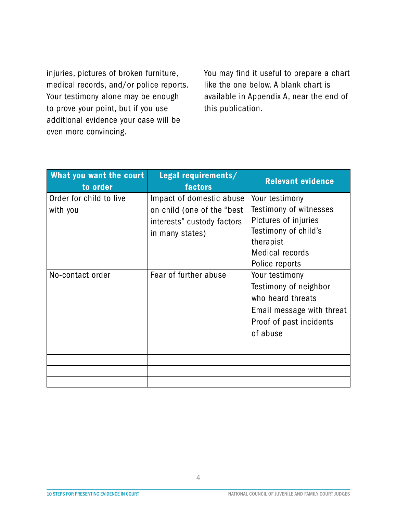injuries, pictures of broken furniture, medical records, and/or police reports. Your testimony alone may be enough to prove your point, but if you use additional evidence your case will be even more convincing.

You may find it useful to prepare a chart like the one below. A blank chart is available in Appendix A, near the end of this publication.

| <b>What you want the court</b><br>to order | Legal requirements/<br>factors | <b>Relevant evidence</b>  |
|--------------------------------------------|--------------------------------|---------------------------|
| Order for child to live                    | Impact of domestic abuse       | Your testimony            |
| with you                                   | on child (one of the "best     | Testimony of witnesses    |
|                                            | interests" custody factors     | Pictures of injuries      |
|                                            | in many states)                | Testimony of child's      |
|                                            |                                | therapist                 |
|                                            |                                | <b>Medical records</b>    |
|                                            |                                | Police reports            |
| No-contact order                           | Fear of further abuse          | Your testimony            |
|                                            |                                | Testimony of neighbor     |
|                                            |                                | who heard threats         |
|                                            |                                | Email message with threat |
|                                            |                                | Proof of past incidents   |
|                                            |                                | of abuse                  |
|                                            |                                |                           |
|                                            |                                |                           |
|                                            |                                |                           |
|                                            |                                |                           |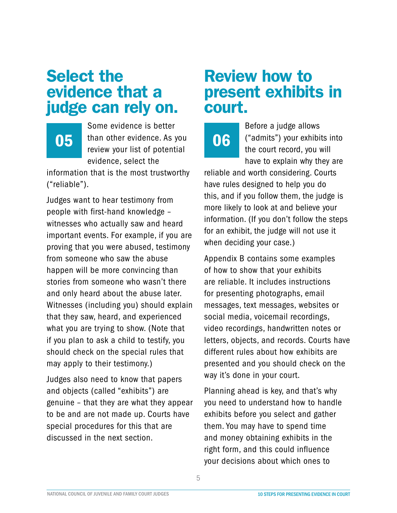### Select the evidence that a judge can rely on.

Some evidence is better 05 than other evidence. As you 06 review your list of potential evidence, select the

information that is the most trustworthy ("reliable").

Judges want to hear testimony from people with first-hand knowledge – witnesses who actually saw and heard important events. For example, if you are proving that you were abused, testimony from someone who saw the abuse happen will be more convincing than stories from someone who wasn't there and only heard about the abuse later. Witnesses (including you) should explain that they saw, heard, and experienced what you are trying to show. (Note that if you plan to ask a child to testify, you should check on the special rules that may apply to their testimony.)

Judges also need to know that papers and objects (called "exhibits") are genuine – that they are what they appear to be and are not made up. Courts have special procedures for this that are discussed in the next section.

### Review how to present exhibits in court.

Before a judge allows ("admits") your exhibits into the court record, you will have to explain why they are

reliable and worth considering. Courts have rules designed to help you do this, and if you follow them, the judge is more likely to look at and believe your information. (If you don't follow the steps for an exhibit, the judge will not use it when deciding your case.)

Appendix B contains some examples of how to show that your exhibits are reliable. It includes instructions for presenting photographs, email messages, text messages, websites or social media, voicemail recordings, video recordings, handwritten notes or letters, objects, and records. Courts have different rules about how exhibits are presented and you should check on the way it's done in your court.

Planning ahead is key, and that's why you need to understand how to handle exhibits before you select and gather them. You may have to spend time and money obtaining exhibits in the right form, and this could influence your decisions about which ones to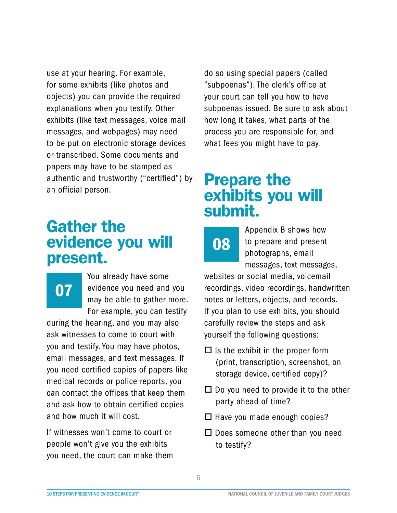use at your hearing. For example, for some exhibits (like photos and objects) you can provide the required explanations when you testify. Other exhibits (like text messages, voice mail messages, and webpages) may need to be put on electronic storage devices or transcribed. Some documents and papers may have to be stamped as authentic and trustworthy ("certified") by an official person.

### Gather the evidence you will present.

# 07

You already have some evidence you need and you may be able to gather more. For example, you can testify

during the hearing, and you may also ask witnesses to come to court with you and testify. You may have photos, email messages, and text messages. If you need certified copies of papers like medical records or police reports, you can contact the offices that keep them and ask how to obtain certified copies and how much it will cost.

If witnesses won't come to court or people won't give you the exhibits you need, the court can make them do so using special papers (called "subpoenas"). The clerk's office at your court can tell you how to have subpoenas issued. Be sure to ask about how long it takes, what parts of the process you are responsible for, and what fees you might have to pay.

### Prepare the exhibits you will submit.



Appendix B shows how to prepare and present photographs, email messages, text messages,

websites or social media, voicemail recordings, video recordings, handwritten notes or letters, objects, and records. If you plan to use exhibits, you should carefully review the steps and ask yourself the following questions:

- $\Box$  Is the exhibit in the proper form (print, transcription, screenshot, on storage device, certified copy)?
- $\Box$  Do you need to provide it to the other party ahead of time?
- $\Box$  Have you made enough copies?
- $\Box$  Does someone other than you need to testify?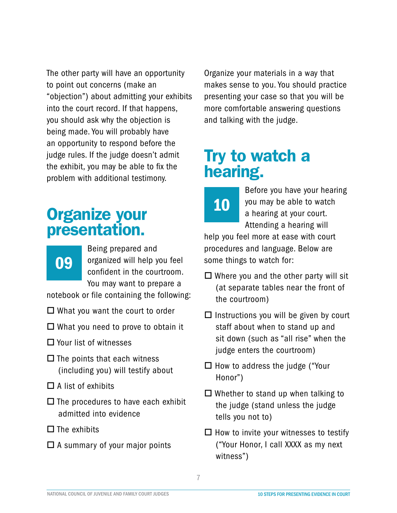The other party will have an opportunity to point out concerns (make an "objection") about admitting your exhibits into the court record. If that happens, you should ask why the objection is being made. You will probably have an opportunity to respond before the judge rules. If the judge doesn't admit the exhibit, you may be able to fix the problem with additional testimony.

### Organize your presentation.

## 09

Being prepared and organized will help you feel confident in the courtroom. You may want to prepare a

notebook or file containing the following:

- $\Box$  What you want the court to order
- $\Box$  What you need to prove to obtain it
- $\square$  Your list of witnesses
- $\square$  The points that each witness (including you) will testify about
- $\Box$  A list of exhibits
- $\Box$  The procedures to have each exhibit admitted into evidence
- $\square$  The exhibits
- $\Box$  A summary of your major points

Organize your materials in a way that makes sense to you. You should practice presenting your case so that you will be more comfortable answering questions and talking with the judge.

### Try to watch a hearing.



Before you have your hearing you may be able to watch a hearing at your court. Attending a hearing will

help you feel more at ease with court procedures and language. Below are some things to watch for:

- $\Box$  Where you and the other party will sit (at separate tables near the front of the courtroom)
- $\Box$  Instructions you will be given by court staff about when to stand up and sit down (such as "all rise" when the judge enters the courtroom)
- $\Box$  How to address the judge ("Your Honor")
- $\Box$  Whether to stand up when talking to the judge (stand unless the judge tells you not to)
- $\Box$  How to invite your witnesses to testify ("Your Honor, I call XXXX as my next witness")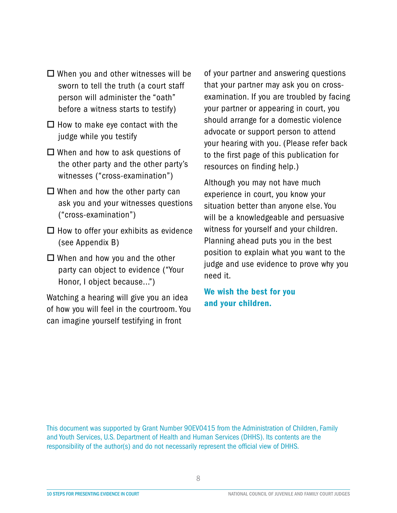- $\Box$  When you and other witnesses will be sworn to tell the truth (a court staff person will administer the "oath" before a witness starts to testify)
- $\Box$  How to make eye contact with the judge while you testify
- $\square$  When and how to ask questions of the other party and the other party's witnesses ("cross-examination")
- $\Box$  When and how the other party can ask you and your witnesses questions ("cross-examination")
- $\Box$  How to offer your exhibits as evidence (see Appendix B)
- $\Box$  When and how you and the other party can object to evidence ("Your Honor, I object because...")

Watching a hearing will give you an idea of how you will feel in the courtroom. You can imagine yourself testifying in front

of your partner and answering questions that your partner may ask you on crossexamination. If you are troubled by facing your partner or appearing in court, you should arrange for a domestic violence advocate or support person to attend your hearing with you. (Please refer back to the first page of this publication for resources on finding help.)

Although you may not have much experience in court, you know your situation better than anyone else. You will be a knowledgeable and persuasive witness for yourself and your children. Planning ahead puts you in the best position to explain what you want to the judge and use evidence to prove why you need it.

We wish the best for you and your children.

This document was supported by Grant Number 90EV0415 from the Administration of Children, Family and Youth Services, U.S. Department of Health and Human Services (DHHS). Its contents are the responsibility of the author(s) and do not necessarily represent the official view of DHHS.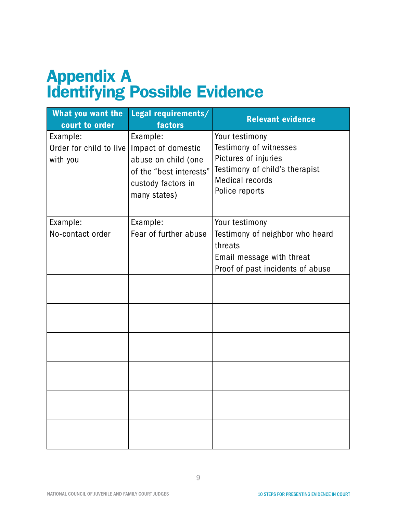## Appendix A Identifying Possible Evidence

| What you want the<br>court to order             | Legal requirements/<br><b>factors</b>                                                                                  | <b>Relevant evidence</b>                                                                                                                       |
|-------------------------------------------------|------------------------------------------------------------------------------------------------------------------------|------------------------------------------------------------------------------------------------------------------------------------------------|
| Example:<br>Order for child to live<br>with you | Example:<br>Impact of domestic<br>abuse on child (one<br>of the "best interests"<br>custody factors in<br>many states) | Your testimony<br>Testimony of witnesses<br>Pictures of injuries<br>Testimony of child's therapist<br><b>Medical records</b><br>Police reports |
| Example:<br>No-contact order                    | Example:<br>Fear of further abuse                                                                                      | Your testimony<br>Testimony of neighbor who heard<br>threats<br>Email message with threat<br>Proof of past incidents of abuse                  |
|                                                 |                                                                                                                        |                                                                                                                                                |
|                                                 |                                                                                                                        |                                                                                                                                                |
|                                                 |                                                                                                                        |                                                                                                                                                |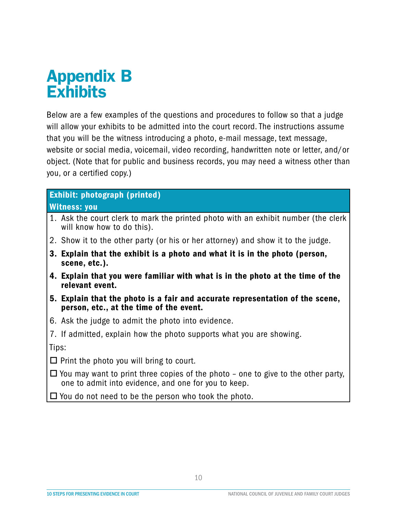### Appendix B **Exhibits**

Below are a few examples of the questions and procedures to follow so that a judge will allow your exhibits to be admitted into the court record. The instructions assume that you will be the witness introducing a photo, e-mail message, text message, website or social media, voicemail, video recording, handwritten note or letter, and/or object. (Note that for public and business records, you may need a witness other than you, or a certified copy.)

### Exhibit: photograph (printed)

#### Witness: you

- 1. Ask the court clerk to mark the printed photo with an exhibit number (the clerk will know how to do this).
- 2. Show it to the other party (or his or her attorney) and show it to the judge.
- 3. Explain that the exhibit is a photo and what it is in the photo (person, scene, etc.).
- 4. Explain that you were familiar with what is in the photo at the time of the relevant event.
- 5. Explain that the photo is a fair and accurate representation of the scene, person, etc., at the time of the event.
- 6. Ask the judge to admit the photo into evidence.
- 7. If admitted, explain how the photo supports what you are showing.

Tips:

 $\Box$  Print the photo you will bring to court.

- $\Box$  You may want to print three copies of the photo one to give to the other party, one to admit into evidence, and one for you to keep.
- $\Box$  You do not need to be the person who took the photo.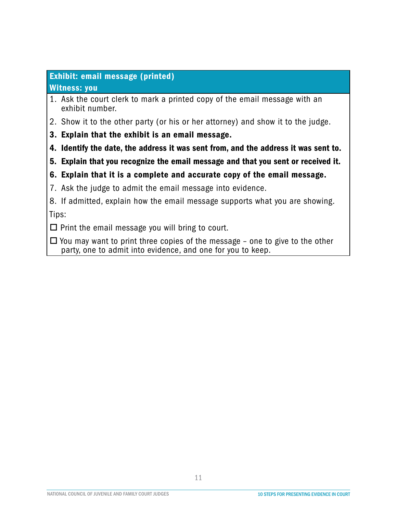#### Exhibit: email message (printed)

#### Witness: you

- 1. Ask the court clerk to mark a printed copy of the email message with an exhibit number.
- 2. Show it to the other party (or his or her attorney) and show it to the judge.
- 3. Explain that the exhibit is an email message.
- 4. Identify the date, the address it was sent from, and the address it was sent to.
- 5. Explain that you recognize the email message and that you sent or received it.
- 6. Explain that it is a complete and accurate copy of the email message.
- 7. Ask the judge to admit the email message into evidence.
- 8. If admitted, explain how the email message supports what you are showing. Tips:

 $\Box$  Print the email message you will bring to court.

 $\Box$  You may want to print three copies of the message – one to give to the other party, one to admit into evidence, and one for you to keep.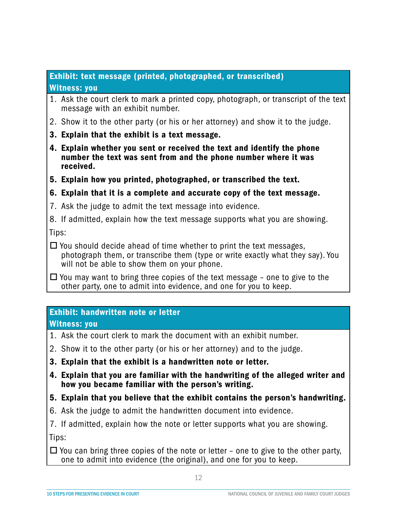#### Exhibit: text message (printed, photographed, or transcribed) Witness: you

- 1. Ask the court clerk to mark a printed copy, photograph, or transcript of the text message with an exhibit number.
- 2. Show it to the other party (or his or her attorney) and show it to the judge.
- 3. Explain that the exhibit is a text message.
- 4. Explain whether you sent or received the text and identify the phone number the text was sent from and the phone number where it was received.
- 5. Explain how you printed, photographed, or transcribed the text.

#### 6. Explain that it is a complete and accurate copy of the text message.

- 7. Ask the judge to admit the text message into evidence.
- 8. If admitted, explain how the text message supports what you are showing.

Tips:

 $\Box$  You should decide ahead of time whether to print the text messages, photograph them, or transcribe them (type or write exactly what they say). You will not be able to show them on your phone.

 $\Box$  You may want to bring three copies of the text message – one to give to the other party, one to admit into evidence, and one for you to keep.

#### Exhibit: handwritten note or letter

Witness: you

- 1. Ask the court clerk to mark the document with an exhibit number.
- 2. Show it to the other party (or his or her attorney) and to the judge.
- 3. Explain that the exhibit is a handwritten note or letter.
- 4. Explain that you are familiar with the handwriting of the alleged writer and how you became familiar with the person's writing.
- 5. Explain that you believe that the exhibit contains the person's handwriting.
- 6. Ask the judge to admit the handwritten document into evidence.

7. If admitted, explain how the note or letter supports what you are showing.

Tips:

 $\Box$  You can bring three copies of the note or letter – one to give to the other party, one to admit into evidence (the original), and one for you to keep.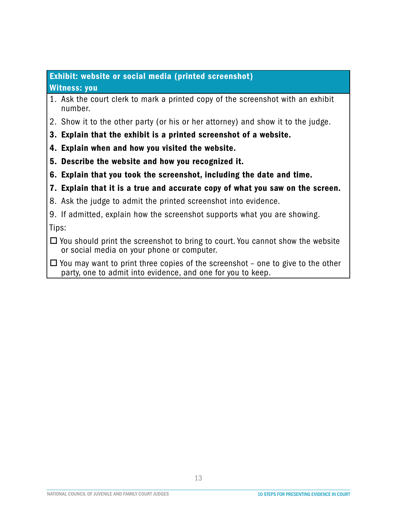#### Exhibit: website or social media (printed screenshot)

#### Witness: you

- 1. Ask the court clerk to mark a printed copy of the screenshot with an exhibit number.
- 2. Show it to the other party (or his or her attorney) and show it to the judge.
- 3. Explain that the exhibit is a printed screenshot of a website.
- 4. Explain when and how you visited the website.
- 5. Describe the website and how you recognized it.
- 6. Explain that you took the screenshot, including the date and time.
- 7. Explain that it is a true and accurate copy of what you saw on the screen.
- 8. Ask the judge to admit the printed screenshot into evidence.
- 9. If admitted, explain how the screenshot supports what you are showing.

Tips:

- $\Box$  You should print the screenshot to bring to court. You cannot show the website or social media on your phone or computer.
- $\Box$  You may want to print three copies of the screenshot one to give to the other party, one to admit into evidence, and one for you to keep.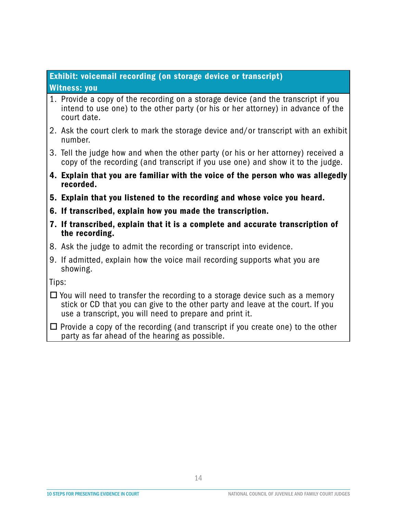#### Exhibit: voicemail recording (on storage device or transcript) Witness: you

- 1. Provide a copy of the recording on a storage device (and the transcript if you intend to use one) to the other party (or his or her attorney) in advance of the court date.
- 2. Ask the court clerk to mark the storage device and/or transcript with an exhibit number.
- 3. Tell the judge how and when the other party (or his or her attorney) received a copy of the recording (and transcript if you use one) and show it to the judge.
- 4. Explain that you are familiar with the voice of the person who was allegedly recorded.
- 5. Explain that you listened to the recording and whose voice you heard.
- 6. If transcribed, explain how you made the transcription.
- 7. If transcribed, explain that it is a complete and accurate transcription of the recording.
- 8. Ask the judge to admit the recording or transcript into evidence.
- 9. If admitted, explain how the voice mail recording supports what you are showing.

Tips:

- $\Box$  You will need to transfer the recording to a storage device such as a memory stick or CD that you can give to the other party and leave at the court. If you use a transcript, you will need to prepare and print it.
- $\Box$  Provide a copy of the recording (and transcript if you create one) to the other party as far ahead of the hearing as possible.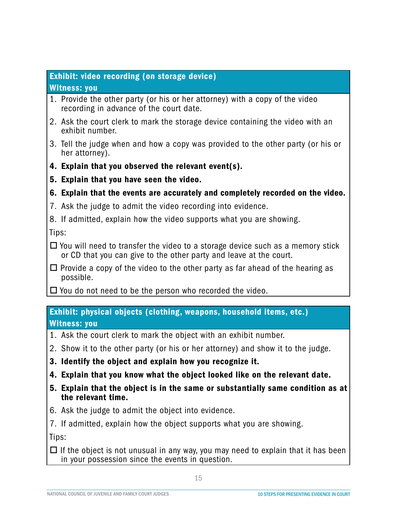#### Exhibit: video recording (on storage device)

#### Witness: you

- 1. Provide the other party (or his or her attorney) with a copy of the video recording in advance of the court date.
- 2. Ask the court clerk to mark the storage device containing the video with an exhibit number.
- 3. Tell the judge when and how a copy was provided to the other party (or his or her attorney).
- 4. Explain that you observed the relevant event(s).
- 5. Explain that you have seen the video.
- 6. Explain that the events are accurately and completely recorded on the video.
- 7. Ask the judge to admit the video recording into evidence.
- 8. If admitted, explain how the video supports what you are showing.

Tips:

- $\Box$  You will need to transfer the video to a storage device such as a memory stick or CD that you can give to the other party and leave at the court.
- $\Box$  Provide a copy of the video to the other party as far ahead of the hearing as possible.
- $\Box$  You do not need to be the person who recorded the video.

#### Exhibit: physical objects (clothing, weapons, household items, etc.) Witness: you

- 1. Ask the court clerk to mark the object with an exhibit number.
- 2. Show it to the other party (or his or her attorney) and show it to the judge.
- 3. Identify the object and explain how you recognize it.
- 4. Explain that you know what the object looked like on the relevant date.
- 5. Explain that the object is in the same or substantially same condition as at the relevant time.
- 6. Ask the judge to admit the object into evidence.
- 7. If admitted, explain how the object supports what you are showing.

Tips:

 $\Box$  If the object is not unusual in any way, you may need to explain that it has been in your possession since the events in question.